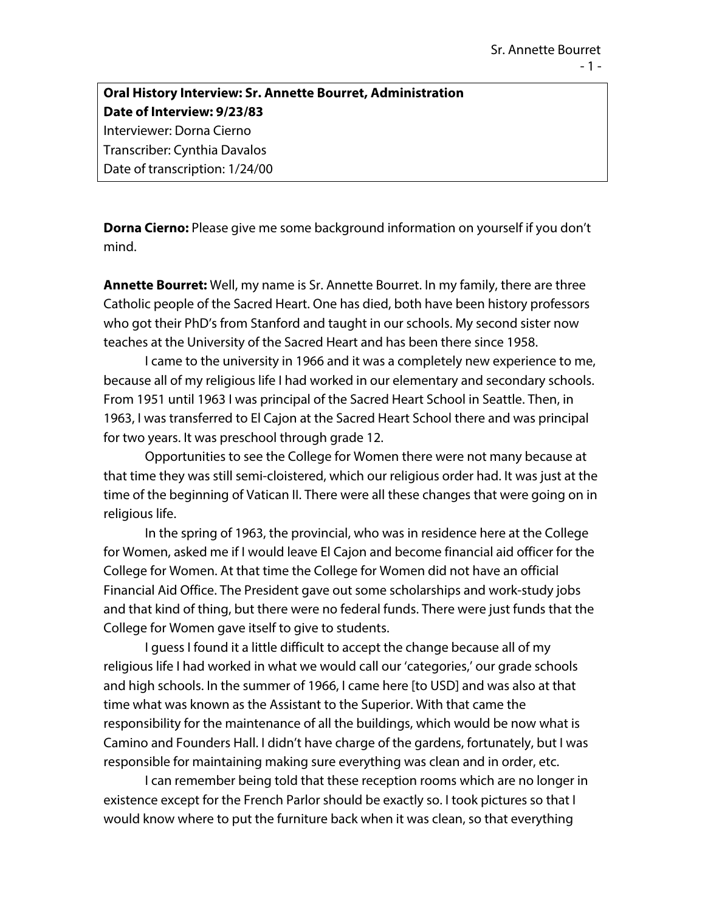## **Oral History Interview: Sr. Annette Bourret, Administration Date of Interview: 9/23/83** Interviewer: Dorna Cierno Transcriber: Cynthia Davalos Date of transcription: 1/24/00

**Dorna Cierno:** Please give me some background information on yourself if you don't mind.

**Annette Bourret:** Well, my name is Sr. Annette Bourret. In my family, there are three Catholic people of the Sacred Heart. One has died, both have been history professors who got their PhD's from Stanford and taught in our schools. My second sister now teaches at the University of the Sacred Heart and has been there since 1958.

I came to the university in 1966 and it was a completely new experience to me, because all of my religious life I had worked in our elementary and secondary schools. From 1951 until 1963 I was principal of the Sacred Heart School in Seattle. Then, in 1963, I was transferred to El Cajon at the Sacred Heart School there and was principal for two years. It was preschool through grade 12.

Opportunities to see the College for Women there were not many because at that time they was still semi-cloistered, which our religious order had. It was just at the time of the beginning of Vatican II. There were all these changes that were going on in religious life.

In the spring of 1963, the provincial, who was in residence here at the College for Women, asked me if I would leave El Cajon and become financial aid officer for the College for Women. At that time the College for Women did not have an official Financial Aid Office. The President gave out some scholarships and work-study jobs and that kind of thing, but there were no federal funds. There were just funds that the College for Women gave itself to give to students.

I guess I found it a little difficult to accept the change because all of my religious life I had worked in what we would call our 'categories,' our grade schools and high schools. In the summer of 1966, I came here [to USD] and was also at that time what was known as the Assistant to the Superior. With that came the responsibility for the maintenance of all the buildings, which would be now what is Camino and Founders Hall. I didn't have charge of the gardens, fortunately, but I was responsible for maintaining making sure everything was clean and in order, etc.

I can remember being told that these reception rooms which are no longer in existence except for the French Parlor should be exactly so. I took pictures so that I would know where to put the furniture back when it was clean, so that everything

- 1 -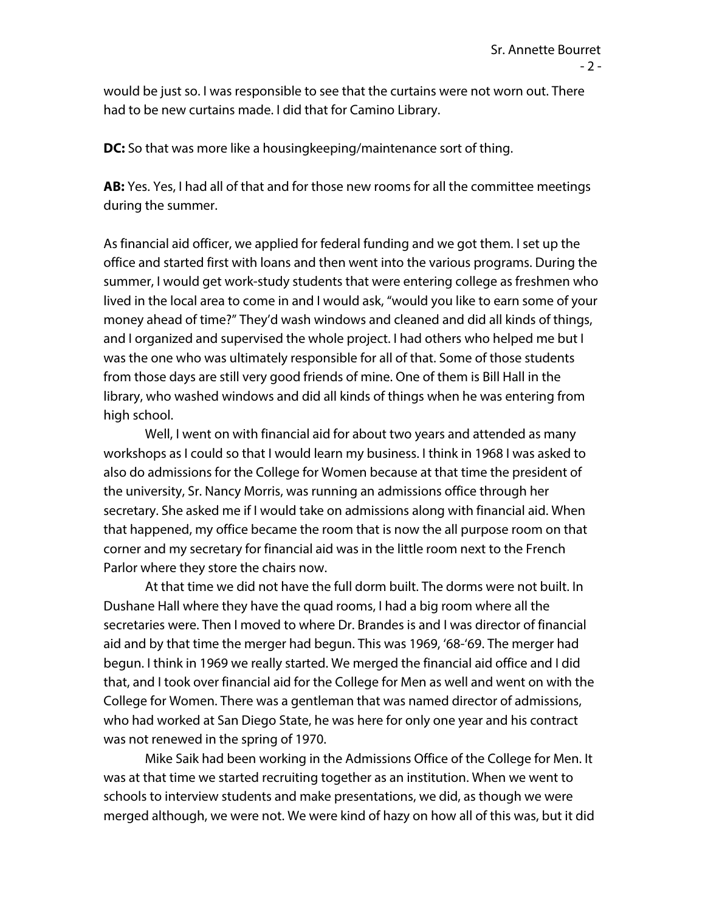would be just so. I was responsible to see that the curtains were not worn out. There had to be new curtains made. I did that for Camino Library.

**DC:** So that was more like a housingkeeping/maintenance sort of thing.

**AB:** Yes. Yes, I had all of that and for those new rooms for all the committee meetings during the summer.

As financial aid officer, we applied for federal funding and we got them. I set up the office and started first with loans and then went into the various programs. During the summer, I would get work-study students that were entering college as freshmen who lived in the local area to come in and I would ask, "would you like to earn some of your money ahead of time?" They'd wash windows and cleaned and did all kinds of things, and I organized and supervised the whole project. I had others who helped me but I was the one who was ultimately responsible for all of that. Some of those students from those days are still very good friends of mine. One of them is Bill Hall in the library, who washed windows and did all kinds of things when he was entering from high school.

Well, I went on with financial aid for about two years and attended as many workshops as I could so that I would learn my business. I think in 1968 I was asked to also do admissions for the College for Women because at that time the president of the university, Sr. Nancy Morris, was running an admissions office through her secretary. She asked me if I would take on admissions along with financial aid. When that happened, my office became the room that is now the all purpose room on that corner and my secretary for financial aid was in the little room next to the French Parlor where they store the chairs now.

At that time we did not have the full dorm built. The dorms were not built. In Dushane Hall where they have the quad rooms, I had a big room where all the secretaries were. Then I moved to where Dr. Brandes is and I was director of financial aid and by that time the merger had begun. This was 1969, '68-'69. The merger had begun. I think in 1969 we really started. We merged the financial aid office and I did that, and I took over financial aid for the College for Men as well and went on with the College for Women. There was a gentleman that was named director of admissions, who had worked at San Diego State, he was here for only one year and his contract was not renewed in the spring of 1970.

Mike Saik had been working in the Admissions Office of the College for Men. It was at that time we started recruiting together as an institution. When we went to schools to interview students and make presentations, we did, as though we were merged although, we were not. We were kind of hazy on how all of this was, but it did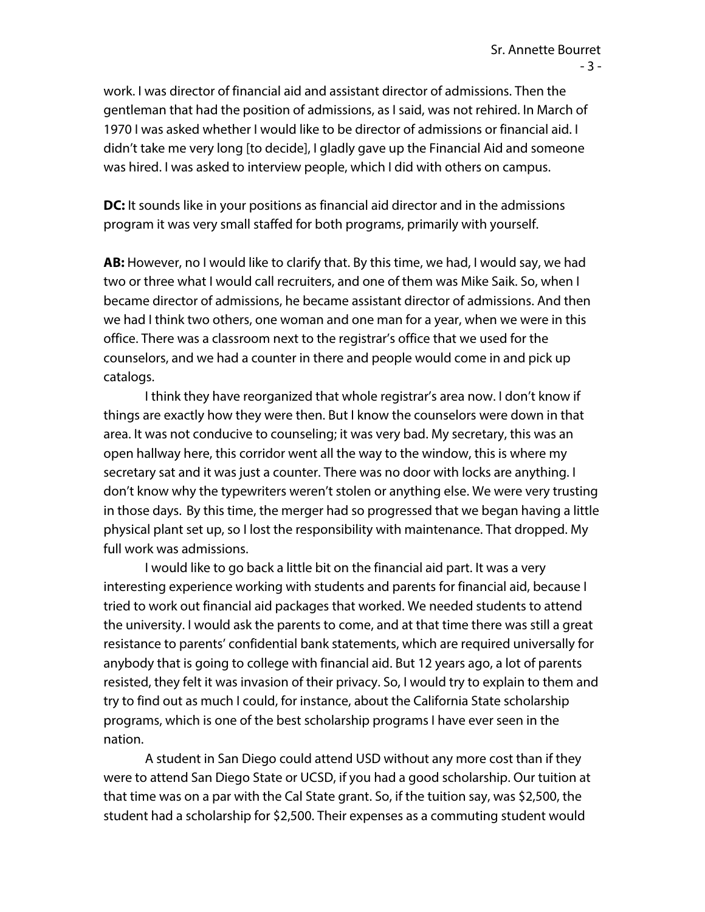work. I was director of financial aid and assistant director of admissions. Then the gentleman that had the position of admissions, as I said, was not rehired. In March of 1970 I was asked whether I would like to be director of admissions or financial aid. I didn't take me very long [to decide], I gladly gave up the Financial Aid and someone was hired. I was asked to interview people, which I did with others on campus.

**DC:** It sounds like in your positions as financial aid director and in the admissions program it was very small staffed for both programs, primarily with yourself.

**AB:** However, no I would like to clarify that. By this time, we had, I would say, we had two or three what I would call recruiters, and one of them was Mike Saik. So, when I became director of admissions, he became assistant director of admissions. And then we had I think two others, one woman and one man for a year, when we were in this office. There was a classroom next to the registrar's office that we used for the counselors, and we had a counter in there and people would come in and pick up catalogs.

I think they have reorganized that whole registrar's area now. I don't know if things are exactly how they were then. But I know the counselors were down in that area. It was not conducive to counseling; it was very bad. My secretary, this was an open hallway here, this corridor went all the way to the window, this is where my secretary sat and it was just a counter. There was no door with locks are anything. I don't know why the typewriters weren't stolen or anything else. We were very trusting in those days. By this time, the merger had so progressed that we began having a little physical plant set up, so I lost the responsibility with maintenance. That dropped. My full work was admissions.

I would like to go back a little bit on the financial aid part. It was a very interesting experience working with students and parents for financial aid, because I tried to work out financial aid packages that worked. We needed students to attend the university. I would ask the parents to come, and at that time there was still a great resistance to parents' confidential bank statements, which are required universally for anybody that is going to college with financial aid. But 12 years ago, a lot of parents resisted, they felt it was invasion of their privacy. So, I would try to explain to them and try to find out as much I could, for instance, about the California State scholarship programs, which is one of the best scholarship programs I have ever seen in the nation.

A student in San Diego could attend USD without any more cost than if they were to attend San Diego State or UCSD, if you had a good scholarship. Our tuition at that time was on a par with the Cal State grant. So, if the tuition say, was \$2,500, the student had a scholarship for \$2,500. Their expenses as a commuting student would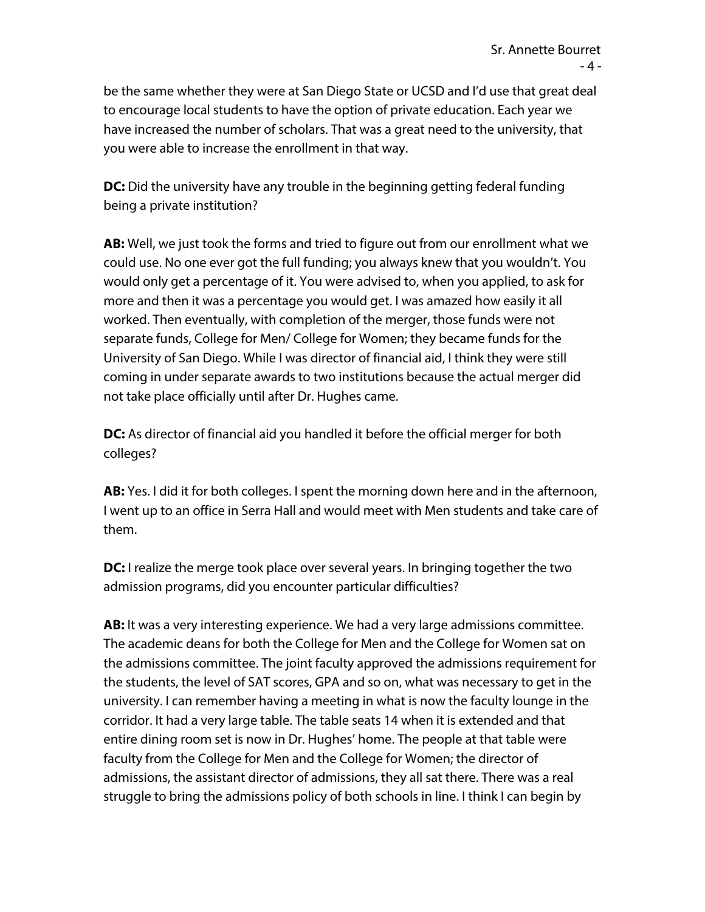be the same whether they were at San Diego State or UCSD and I'd use that great deal to encourage local students to have the option of private education. Each year we have increased the number of scholars. That was a great need to the university, that you were able to increase the enrollment in that way.

**DC:** Did the university have any trouble in the beginning getting federal funding being a private institution?

**AB:** Well, we just took the forms and tried to figure out from our enrollment what we could use. No one ever got the full funding; you always knew that you wouldn't. You would only get a percentage of it. You were advised to, when you applied, to ask for more and then it was a percentage you would get. I was amazed how easily it all worked. Then eventually, with completion of the merger, those funds were not separate funds, College for Men/ College for Women; they became funds for the University of San Diego. While I was director of financial aid, I think they were still coming in under separate awards to two institutions because the actual merger did not take place officially until after Dr. Hughes came.

**DC:** As director of financial aid you handled it before the official merger for both colleges?

**AB:** Yes. I did it for both colleges. I spent the morning down here and in the afternoon, I went up to an office in Serra Hall and would meet with Men students and take care of them.

**DC:** I realize the merge took place over several years. In bringing together the two admission programs, did you encounter particular difficulties?

**AB:** It was a very interesting experience. We had a very large admissions committee. The academic deans for both the College for Men and the College for Women sat on the admissions committee. The joint faculty approved the admissions requirement for the students, the level of SAT scores, GPA and so on, what was necessary to get in the university. I can remember having a meeting in what is now the faculty lounge in the corridor. It had a very large table. The table seats 14 when it is extended and that entire dining room set is now in Dr. Hughes' home. The people at that table were faculty from the College for Men and the College for Women; the director of admissions, the assistant director of admissions, they all sat there. There was a real struggle to bring the admissions policy of both schools in line. I think I can begin by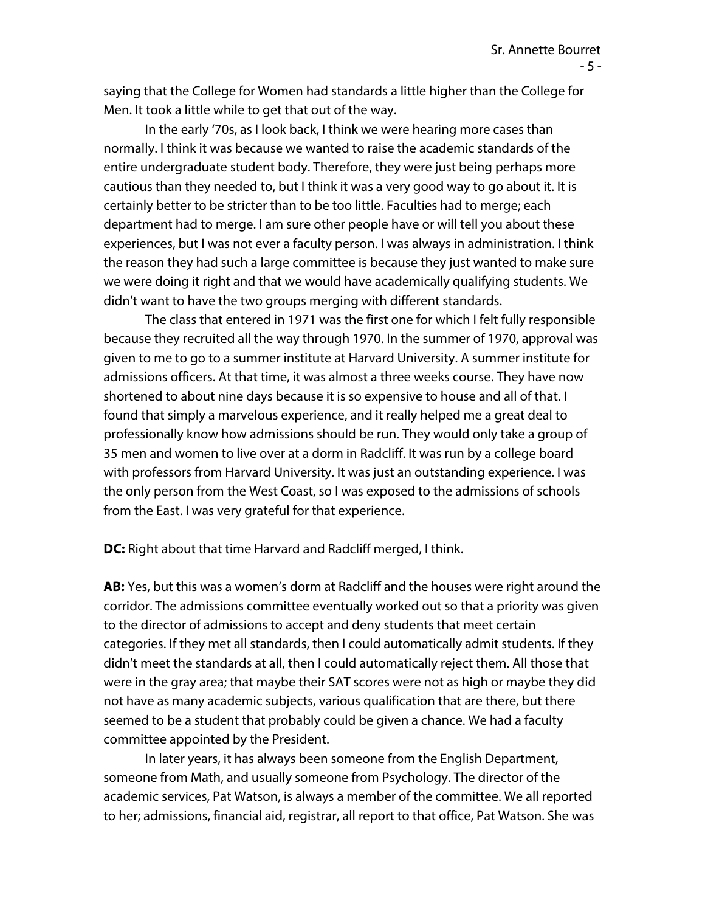saying that the College for Women had standards a little higher than the College for Men. It took a little while to get that out of the way.

In the early '70s, as I look back, I think we were hearing more cases than normally. I think it was because we wanted to raise the academic standards of the entire undergraduate student body. Therefore, they were just being perhaps more cautious than they needed to, but I think it was a very good way to go about it. It is certainly better to be stricter than to be too little. Faculties had to merge; each department had to merge. I am sure other people have or will tell you about these experiences, but I was not ever a faculty person. I was always in administration. I think the reason they had such a large committee is because they just wanted to make sure we were doing it right and that we would have academically qualifying students. We didn't want to have the two groups merging with different standards.

The class that entered in 1971 was the first one for which I felt fully responsible because they recruited all the way through 1970. In the summer of 1970, approval was given to me to go to a summer institute at Harvard University. A summer institute for admissions officers. At that time, it was almost a three weeks course. They have now shortened to about nine days because it is so expensive to house and all of that. I found that simply a marvelous experience, and it really helped me a great deal to professionally know how admissions should be run. They would only take a group of 35 men and women to live over at a dorm in Radcliff. It was run by a college board with professors from Harvard University. It was just an outstanding experience. I was the only person from the West Coast, so I was exposed to the admissions of schools from the East. I was very grateful for that experience.

**DC:** Right about that time Harvard and Radcliff merged, I think.

**AB:** Yes, but this was a women's dorm at Radcliff and the houses were right around the corridor. The admissions committee eventually worked out so that a priority was given to the director of admissions to accept and deny students that meet certain categories. If they met all standards, then I could automatically admit students. If they didn't meet the standards at all, then I could automatically reject them. All those that were in the gray area; that maybe their SAT scores were not as high or maybe they did not have as many academic subjects, various qualification that are there, but there seemed to be a student that probably could be given a chance. We had a faculty committee appointed by the President.

In later years, it has always been someone from the English Department, someone from Math, and usually someone from Psychology. The director of the academic services, Pat Watson, is always a member of the committee. We all reported to her; admissions, financial aid, registrar, all report to that office, Pat Watson. She was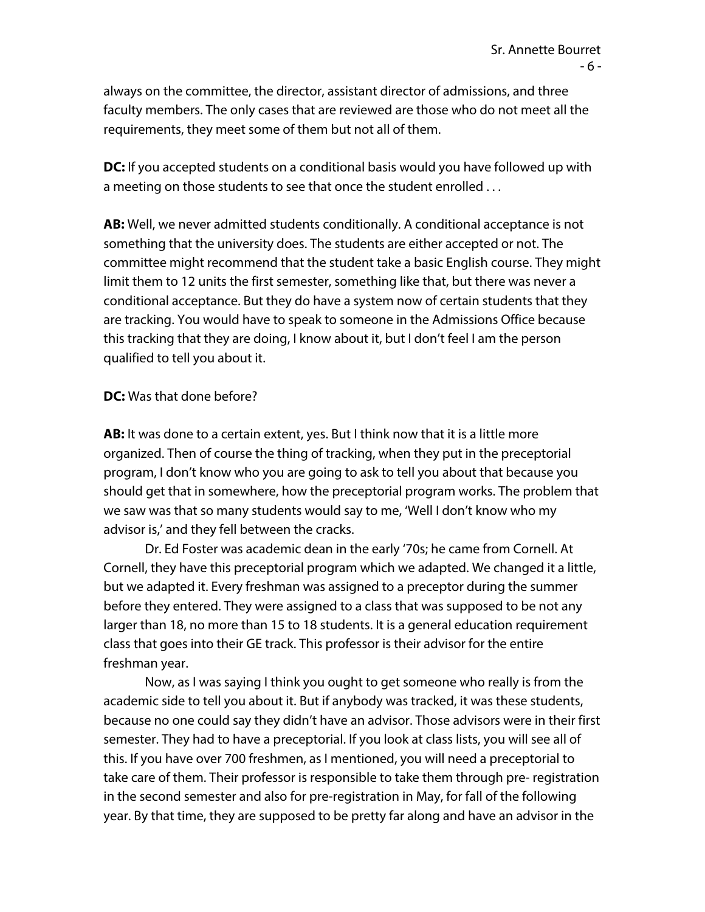always on the committee, the director, assistant director of admissions, and three faculty members. The only cases that are reviewed are those who do not meet all the requirements, they meet some of them but not all of them.

**DC:** If you accepted students on a conditional basis would you have followed up with a meeting on those students to see that once the student enrolled . . .

**AB:** Well, we never admitted students conditionally. A conditional acceptance is not something that the university does. The students are either accepted or not. The committee might recommend that the student take a basic English course. They might limit them to 12 units the first semester, something like that, but there was never a conditional acceptance. But they do have a system now of certain students that they are tracking. You would have to speak to someone in the Admissions Office because this tracking that they are doing, I know about it, but I don't feel I am the person qualified to tell you about it.

## **DC:** Was that done before?

**AB:** It was done to a certain extent, yes. But I think now that it is a little more organized. Then of course the thing of tracking, when they put in the preceptorial program, I don't know who you are going to ask to tell you about that because you should get that in somewhere, how the preceptorial program works. The problem that we saw was that so many students would say to me, 'Well I don't know who my advisor is,' and they fell between the cracks.

Dr. Ed Foster was academic dean in the early '70s; he came from Cornell. At Cornell, they have this preceptorial program which we adapted. We changed it a little, but we adapted it. Every freshman was assigned to a preceptor during the summer before they entered. They were assigned to a class that was supposed to be not any larger than 18, no more than 15 to 18 students. It is a general education requirement class that goes into their GE track. This professor is their advisor for the entire freshman year.

Now, as I was saying I think you ought to get someone who really is from the academic side to tell you about it. But if anybody was tracked, it was these students, because no one could say they didn't have an advisor. Those advisors were in their first semester. They had to have a preceptorial. If you look at class lists, you will see all of this. If you have over 700 freshmen, as I mentioned, you will need a preceptorial to take care of them. Their professor is responsible to take them through pre- registration in the second semester and also for pre-registration in May, for fall of the following year. By that time, they are supposed to be pretty far along and have an advisor in the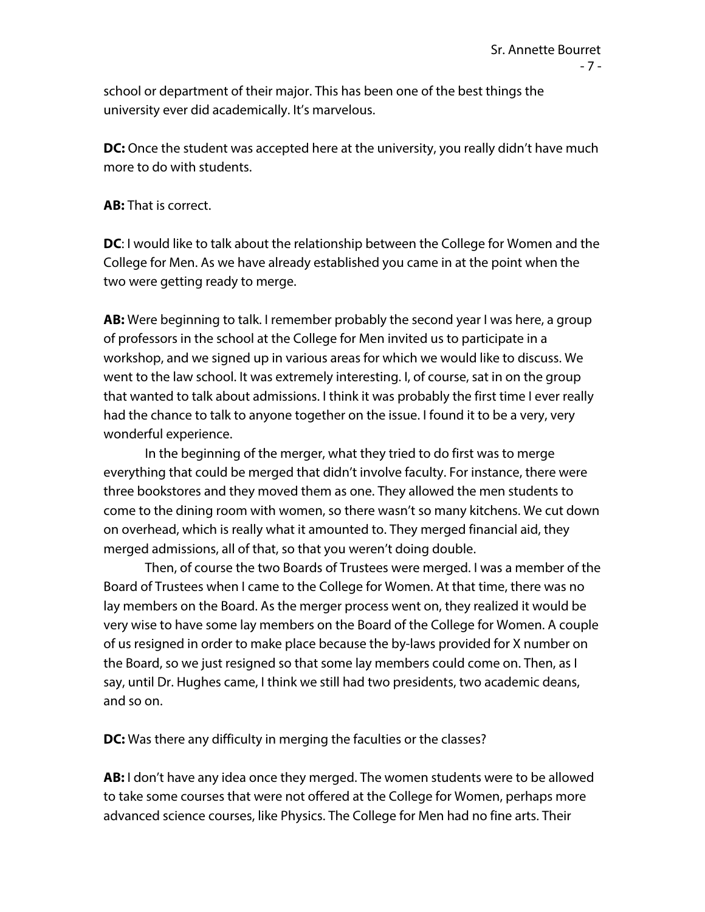school or department of their major. This has been one of the best things the university ever did academically. It's marvelous.

**DC:** Once the student was accepted here at the university, you really didn't have much more to do with students.

**AB:** That is correct.

**DC**: I would like to talk about the relationship between the College for Women and the College for Men. As we have already established you came in at the point when the two were getting ready to merge.

**AB:** Were beginning to talk. I remember probably the second year I was here, a group of professors in the school at the College for Men invited us to participate in a workshop, and we signed up in various areas for which we would like to discuss. We went to the law school. It was extremely interesting. I, of course, sat in on the group that wanted to talk about admissions. I think it was probably the first time I ever really had the chance to talk to anyone together on the issue. I found it to be a very, very wonderful experience.

In the beginning of the merger, what they tried to do first was to merge everything that could be merged that didn't involve faculty. For instance, there were three bookstores and they moved them as one. They allowed the men students to come to the dining room with women, so there wasn't so many kitchens. We cut down on overhead, which is really what it amounted to. They merged financial aid, they merged admissions, all of that, so that you weren't doing double.

Then, of course the two Boards of Trustees were merged. I was a member of the Board of Trustees when I came to the College for Women. At that time, there was no lay members on the Board. As the merger process went on, they realized it would be very wise to have some lay members on the Board of the College for Women. A couple of us resigned in order to make place because the by-laws provided for X number on the Board, so we just resigned so that some lay members could come on. Then, as I say, until Dr. Hughes came, I think we still had two presidents, two academic deans, and so on.

**DC:** Was there any difficulty in merging the faculties or the classes?

**AB:** I don't have any idea once they merged. The women students were to be allowed to take some courses that were not offered at the College for Women, perhaps more advanced science courses, like Physics. The College for Men had no fine arts. Their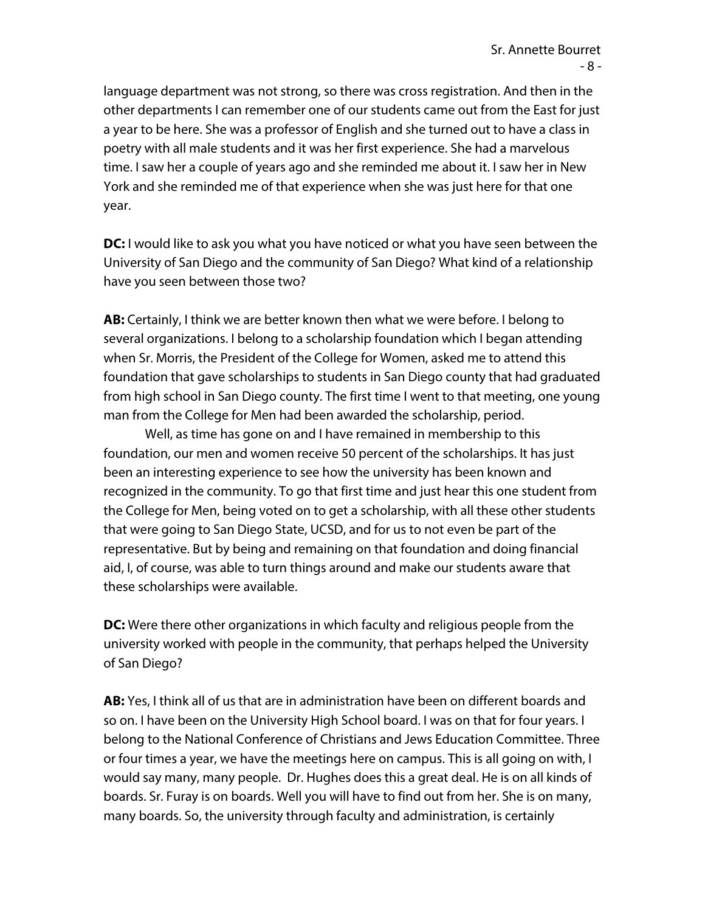language department was not strong, so there was cross registration. And then in the other departments I can remember one of our students came out from the East for just a year to be here. She was a professor of English and she turned out to have a class in poetry with all male students and it was her first experience. She had a marvelous time. I saw her a couple of years ago and she reminded me about it. I saw her in New York and she reminded me of that experience when she was just here for that one year.

**DC:** I would like to ask you what you have noticed or what you have seen between the University of San Diego and the community of San Diego? What kind of a relationship have you seen between those two?

**AB:** Certainly, I think we are better known then what we were before. I belong to several organizations. I belong to a scholarship foundation which I began attending when Sr. Morris, the President of the College for Women, asked me to attend this foundation that gave scholarships to students in San Diego county that had graduated from high school in San Diego county. The first time I went to that meeting, one young man from the College for Men had been awarded the scholarship, period.

Well, as time has gone on and I have remained in membership to this foundation, our men and women receive 50 percent of the scholarships. It has just been an interesting experience to see how the university has been known and recognized in the community. To go that first time and just hear this one student from the College for Men, being voted on to get a scholarship, with all these other students that were going to San Diego State, UCSD, and for us to not even be part of the representative. But by being and remaining on that foundation and doing financial aid, I, of course, was able to turn things around and make our students aware that these scholarships were available.

**DC:** Were there other organizations in which faculty and religious people from the university worked with people in the community, that perhaps helped the University of San Diego?

**AB:** Yes, I think all of us that are in administration have been on different boards and so on. I have been on the University High School board. I was on that for four years. I belong to the National Conference of Christians and Jews Education Committee. Three or four times a year, we have the meetings here on campus. This is all going on with, I would say many, many people. Dr. Hughes does this a great deal. He is on all kinds of boards. Sr. Furay is on boards. Well you will have to find out from her. She is on many, many boards. So, the university through faculty and administration, is certainly